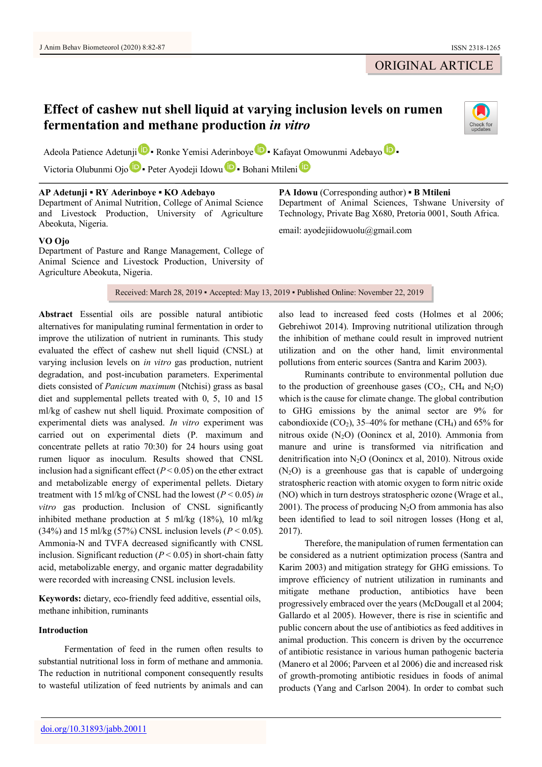# ORIGINAL ARTICLE

# **Effect of cashew nut shell liquid at varying inclusion levels on rumen fermentation and methane production** *in vitro*



Adeola Pat[i](https://orcid.org/0000-0002-0503-2672)ence Adetunji **D** R[o](https://orcid.org/0000-0002-5812-209X)nke Yemisi Aderinboye **D** Kafayat Omowunmi Adebayo **D** 

Vict[o](https://orcid.org/0000-0003-1767-5269)ria Ol[u](https://orcid.org/0000-0002-0227-3171)bunm[i](https://orcid.org/0000-0001-5126-598X) Ojo **D** · Peter Ayodeji Idowu **D** · Bohani Mtileni **D** 

## **AP Adetunji ▪ RY Aderinboye ▪ KO Adebayo**

Department of Animal Nutrition, College of Animal Science and Livestock Production, University of Agriculture Abeokuta, Nigeria.

### **VO Ojo**

Department of Pasture and Range Management, College of Animal Science and Livestock Production, University of Agriculture Abeokuta, Nigeria.

**PA Idowu** (Corresponding author) **▪ B Mtileni** Department of Animal Sciences, Tshwane University of Technology, Private Bag X680, Pretoria 0001, South Africa.

email: ayodejiidowuolu@gmail.com

Received: March 28, 2019 · Accepted: May 13, 2019 · Published Online: November 22, 2019

**Abstract** Essential oils are possible natural antibiotic alternatives for manipulating ruminal fermentation in order to improve the utilization of nutrient in ruminants. This study evaluated the effect of cashew nut shell liquid (CNSL) at varying inclusion levels on *in vitro* gas production, nutrient degradation, and post-incubation parameters. Experimental diets consisted of *Panicum maximum* (Ntchisi) grass as basal diet and supplemental pellets treated with 0, 5, 10 and 15 ml/kg of cashew nut shell liquid. Proximate composition of experimental diets was analysed. *In vitro* experiment was carried out on experimental diets (P. maximum and concentrate pellets at ratio 70:30) for 24 hours using goat rumen liquor as inoculum. Results showed that CNSL inclusion had a significant effect  $(P < 0.05)$  on the ether extract and metabolizable energy of experimental pellets. Dietary treatment with 15 ml/kg of CNSL had the lowest (*P* < 0.05) *in vitro* gas production. Inclusion of CNSL significantly inhibited methane production at 5 ml/kg (18%), 10 ml/kg (34%) and 15 ml/kg (57%) CNSL inclusion levels ( $P < 0.05$ ). Ammonia-N and TVFA decreased significantly with CNSL inclusion. Significant reduction  $(P < 0.05)$  in short-chain fatty acid, metabolizable energy, and organic matter degradability were recorded with increasing CNSL inclusion levels.

**Keywords:** dietary, eco-friendly feed additive, essential oils, methane inhibition, ruminants

# **Introduction**

Fermentation of feed in the rumen often results to substantial nutritional loss in form of methane and ammonia. The reduction in nutritional component consequently results to wasteful utilization of feed nutrients by animals and can also lead to increased feed costs (Holmes et al 2006; Gebrehiwot 2014). Improving nutritional utilization through the inhibition of methane could result in improved nutrient utilization and on the other hand, limit environmental pollutions from enteric sources (Santra and Karim 2003).

Ruminants contribute to environmental pollution due to the production of greenhouse gases  $(CO<sub>2</sub>, CH<sub>4</sub>$  and  $N<sub>2</sub>O$ ) which is the cause for climate change. The global contribution to GHG emissions by the animal sector are 9% for cabondioxide  $(CO_2)$ , 35-40% for methane  $(CH_4)$  and 65% for nitrous oxide  $(N_2O)$  (Oonincx et al, 2010). Ammonia from manure and urine is transformed via nitrification and denitrification into N2O (Oonincx et al, 2010). Nitrous oxide  $(N_2O)$  is a greenhouse gas that is capable of undergoing stratospheric reaction with atomic oxygen to form nitric oxide (NO) which in turn destroys stratospheric ozone (Wrage et al., 2001). The process of producing  $N_2O$  from ammonia has also been identified to lead to soil nitrogen losses (Hong et al, 2017).

Therefore, the manipulation of rumen fermentation can be considered as a nutrient optimization process (Santra and Karim 2003) and mitigation strategy for GHG emissions. To improve efficiency of nutrient utilization in ruminants and mitigate methane production, antibiotics have been progressively embraced over the years (McDougall et al 2004; Gallardo et al 2005). However, there is rise in scientific and public concern about the use of antibiotics as feed additives in animal production. This concern is driven by the occurrence of antibiotic resistance in various human pathogenic bacteria (Manero et al 2006; Parveen et al 2006) die and increased risk of growth-promoting antibiotic residues in foods of animal products (Yang and Carlson 2004). In order to combat such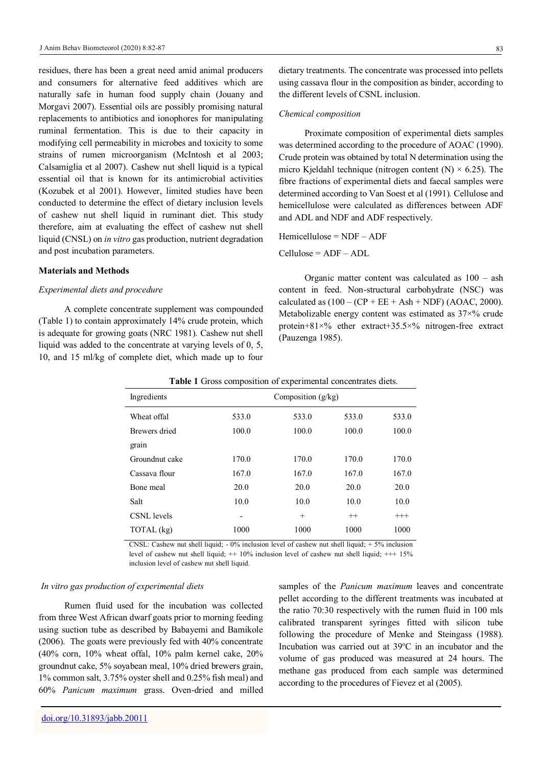residues, there has been a great need amid animal producers and consumers for alternative feed additives which are naturally safe in human food supply chain (Jouany and Morgavi 2007). Essential oils are possibly promising natural replacements to antibiotics and ionophores for manipulating ruminal fermentation. This is due to their capacity in modifying cell permeability in microbes and toxicity to some strains of rumen microorganism (McIntosh et al 2003; Calsamiglia et al 2007). Cashew nut shell liquid is a typical essential oil that is known for its antimicrobial activities (Kozubek et al 2001). However, limited studies have been conducted to determine the effect of dietary inclusion levels of cashew nut shell liquid in ruminant diet. This study therefore, aim at evaluating the effect of cashew nut shell liquid (CNSL) on *in vitro* gas production, nutrient degradation and post incubation parameters.

#### **Materials and Methods**

#### *Experimental diets and procedure*

A complete concentrate supplement was compounded (Table 1) to contain approximately 14% crude protein, which is adequate for growing goats (NRC 1981). Cashew nut shell liquid was added to the concentrate at varying levels of 0, 5, 10, and 15 ml/kg of complete diet, which made up to four

dietary treatments. The concentrate was processed into pellets using cassava flour in the composition as binder, according to the different levels of CSNL inclusion.

#### *Chemical composition*

Proximate composition of experimental diets samples was determined according to the procedure of AOAC (1990). Crude protein was obtained by total N determination using the micro Kjeldahl technique (nitrogen content  $(N) \times 6.25$ ). The fibre fractions of experimental diets and faecal samples were determined according to Van Soest et al (1991)*.* Cellulose and hemicellulose were calculated as differences between ADF and ADL and NDF and ADF respectively.

Hemicellulose = NDF – ADF

Cellulose = ADF – ADL

Organic matter content was calculated as 100 – ash content in feed. Non-structural carbohydrate (NSC) was calculated as  $(100 - (CP + EE + Ash + NDF) (AOAC, 2000)$ . Metabolizable energy content was estimated as  $37\times\%$  crude protein+81×% ether extract+35.5×% nitrogen-free extract (Pauzenga 1985).

| Ingredients    |       | Composition $(g/kg)$ |         |          |  |
|----------------|-------|----------------------|---------|----------|--|
| Wheat offal    | 533.0 | 533.0                | 533.0   | 533.0    |  |
| Brewers dried  | 100.0 | 100.0                | 100.0   | 100.0    |  |
| grain          |       |                      |         |          |  |
| Groundnut cake | 170.0 | 170.0                | 170.0   | 170.0    |  |
| Cassava flour  | 167.0 | 167.0                | 167.0   | 167.0    |  |
| Bone meal      | 20.0  | 20.0                 | 20.0    | 20.0     |  |
| Salt           | 10.0  | 10.0                 | 10.0    | 10.0     |  |
| CSNL levels    | ۰     | $^{+}$               | $^{++}$ | $^{+++}$ |  |
| TOTAL (kg)     | 1000  | 1000                 | 1000    | 1000     |  |

**Table 1** Gross composition of experimental concentrates diets.

CNSL: Cashew nut shell liquid;  $-0\%$  inclusion level of cashew nut shell liquid;  $+5\%$  inclusion level of cashew nut shell liquid; ++ 10% inclusion level of cashew nut shell liquid; +++ 15% inclusion level of cashew nut shell liquid.

#### *In vitro gas production of experimental diets*

Rumen fluid used for the incubation was collected from three West African dwarf goats prior to morning feeding using suction tube as described by Babayemi and Bamikole (2006). The goats were previously fed with 40% concentrate  $(40\% \text{ corn}, 10\% \text{ when of fall}, 10\% \text{ palm, and } 20\% \text{)$ groundnut cake, 5% soyabean meal, 10% dried brewers grain, 1% common salt, 3.75% oyster shell and 0.25% fish meal) and 60% *Panicum maximum* grass. Oven-dried and milled samples of the *Panicum maximum* leaves and concentrate pellet according to the different treatments was incubated at the ratio 70:30 respectively with the rumen fluid in 100 mls calibrated transparent syringes fitted with silicon tube following the procedure of Menke and Steingass (1988). Incubation was carried out at  $39^{\circ}$ C in an incubator and the volume of gas produced was measured at 24 hours. The methane gas produced from each sample was determined according to the procedures of Fievez et al (2005).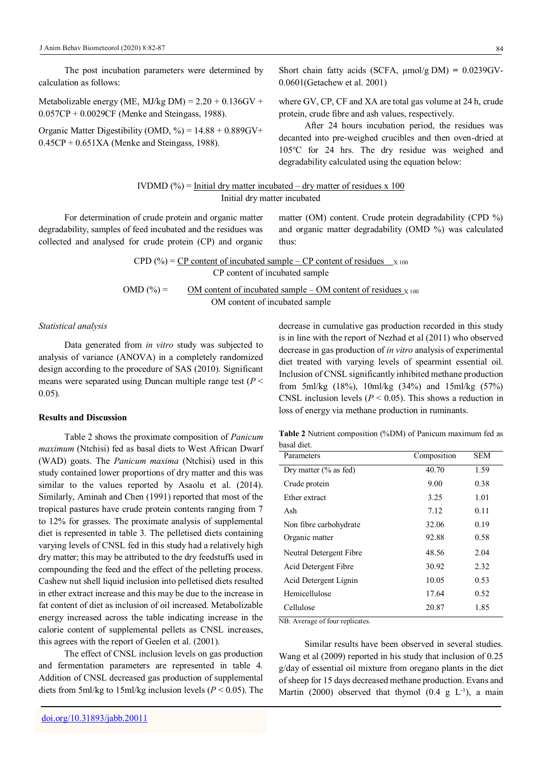The post incubation parameters were determined by calculation as follows:

Metabolizable energy (ME, MJ/kg DM) =  $2.20 + 0.136$ GV + 0.057CP + 0.0029CF (Menke and Steingass, 1988).

Organic Matter Digestibility (OMD,  $\%$ ) = 14.88 + 0.889GV+  $0.45CP + 0.651XA$  (Menke and Steingass, 1988).

Short chain fatty acids (SCFA, μmol/g DM) **=** 0.0239GV-0.0601(Getachew et al. 2001)

where GV, CP, CF and XA are total gas volume at 24 h, crude protein, crude fibre and ash values, respectively.

After 24 hours incubation period, the residues was decanted into pre-weighed crucibles and then oven-dried at 105°C for 24 hrs. The dry residue was weighed and degradability calculated using the equation below:

IVDMD (
$$
\degree
$$
) = Initial dry matter incubated – dry matter of residues x 100  
Initial dry matter incubated

For determination of crude protein and organic matter degradability, samples of feed incubated and the residues was collected and analysed for crude protein (CP) and organic matter (OM) content. Crude protein degradability (CPD %) and organic matter degradability (OMD %) was calculated thus:

CPD (
$$
\%
$$
) = CP content of incubated sample – CP content of residues  $\times$  100  
CP content of incubated sample

OMD (%) =  $OM$  content of incubated sample – OM content of residues  $X_{100}$ OM content of incubated sample

#### *Statistical analysis*

Data generated from *in vitro* study was subjected to analysis of variance (ANOVA) in a completely randomized design according to the procedure of SAS (2010). Significant means were separated using Duncan multiple range test (*P* < 0.05).

#### **Results and Discussion**

Table 2 shows the proximate composition of *Panicum maximum* (Ntchisi) fed as basal diets to West African Dwarf (WAD) goats. The *Panicum maxima* (Ntchisi) used in this study contained lower proportions of dry matter and this was similar to the values reported by Asaolu et al. (2014). Similarly, Aminah and Chen (1991) reported that most of the tropical pastures have crude protein contents ranging from 7 to 12% for grasses. The proximate analysis of supplemental diet is represented in table 3. The pelletised diets containing varying levels of CNSL fed in this study had a relatively high dry matter; this may be attributed to the dry feedstuffs used in compounding the feed and the effect of the pelleting process. Cashew nut shell liquid inclusion into pelletised diets resulted in ether extract increase and this may be due to the increase in fat content of diet as inclusion of oil increased. Metabolizable energy increased across the table indicating increase in the calorie content of supplemental pellets as CNSL increases, this agrees with the report of Geelen et al. (2001).

The effect of CNSL inclusion levels on gas production and fermentation parameters are represented in table 4. Addition of CNSL decreased gas production of supplemental diets from 5ml/kg to 15ml/kg inclusion levels (*P* < 0.05). The decrease in cumulative gas production recorded in this study is in line with the report of Nezhad et al (2011) who observed decrease in gas production of *in vitro* analysis of experimental diet treated with varying levels of spearmint essential oil. Inclusion of CNSL significantly inhibited methane production from 5ml/kg (18%), 10ml/kg (34%) and 15ml/kg (57%) CNSL inclusion levels ( $P < 0.05$ ). This shows a reduction in loss of energy via methane production in ruminants.

| Parameters               | Composition | <b>SEM</b> |
|--------------------------|-------------|------------|
| Dry matter $(\%$ as fed) | 40.70       | 1.59       |
| Crude protein            | 9.00        | 0.38       |
| Ether extract            | 3.25        | 1.01       |
| Ash                      | 7.12        | 0.11       |
| Non fibre carbohydrate   | 32.06       | 0.19       |
| Organic matter           | 92.88       | 0.58       |
| Neutral Detergent Fibre  | 48.56       | 2.04       |
| Acid Detergent Fibre     | 30.92       | 2.32       |
| Acid Detergent Lignin    | 10.05       | 0.53       |
| Hemicellulose            | 17.64       | 0.52       |
| Cellulose                | 20.87       | 1.85       |

**Table 2** Nutrient composition (%DM) of Panicum maximum fed as basal diet.

NB: Average of four replicates.

Similar results have been observed in several studies. Wang et al (2009) reported in his study that inclusion of 0.25 g/day of essential oil mixture from oregano plants in the diet of sheep for 15 days decreased methane production. Evans and Martin (2000) observed that thymol (0.4  $g$  L<sup>-1</sup>), a main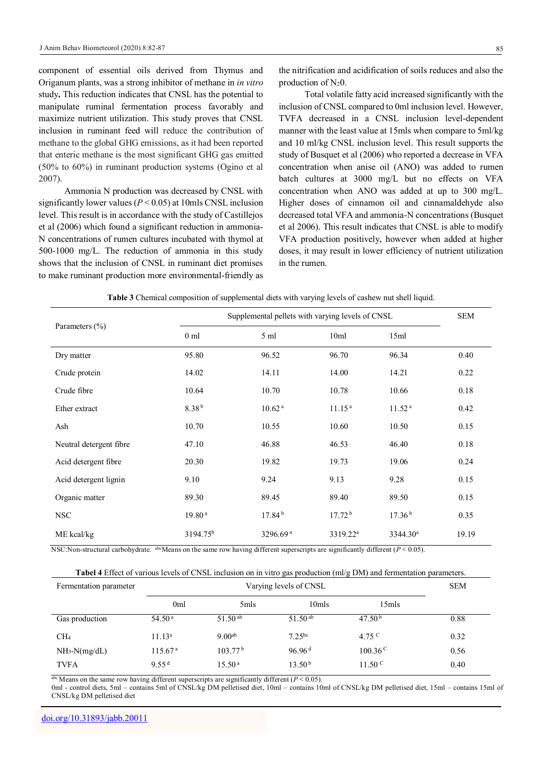component of essential oils derived from Thymus and Origanum plants, was a strong inhibitor of methane in *in vitro* study**.** This reduction indicates that CNSL has the potential to manipulate ruminal fermentation process favorably and maximize nutrient utilization. This study proves that CNSL inclusion in ruminant feed will reduce the contribution of methane to the global GHG emissions, as it had been reported that enteric methane is the most significant GHG gas emitted (50% to 60%) in ruminant production systems (Ogino et al 2007).

Ammonia N production was decreased by CNSL with significantly lower values (*P* < 0.05) at 10mls CNSL inclusion level. This result is in accordance with the study of Castillejos et al (2006) which found a significant reduction in ammonia-N concentrations of rumen cultures incubated with thymol at 500-1000 mg/L. The reduction of ammonia in this study shows that the inclusion of CNSL in ruminant diet promises to make ruminant production more environmental-friendly as

the nitrification and acidification of soils reduces and also the production of  $N_20$ .

Total volatile fatty acid increased significantly with the inclusion of CNSL compared to 0ml inclusion level. However, TVFA decreased in a CNSL inclusion level-dependent manner with the least value at 15mls when compare to 5ml/kg and 10 ml/kg CNSL inclusion level. This result supports the study of Busquet et al (2006) who reported a decrease in VFA concentration when anise oil (ANO) was added to rumen batch cultures at 3000 mg/L but no effects on VFA concentration when ANO was added at up to 300 mg/L. Higher doses of cinnamon oil and cinnamaldehyde also decreased total VFA and ammonia-N concentrations (Busquet et al 2006). This result indicates that CNSL is able to modify VFA production positively, however when added at higher doses, it may result in lower efficiency of nutrient utilization in the rumen.

| Parameters $(\% )$      | Supplemental pellets with varying levels of CNSL |                      |                      |                      | <b>SEM</b> |
|-------------------------|--------------------------------------------------|----------------------|----------------------|----------------------|------------|
|                         | 0 <sub>m1</sub>                                  | 5 ml                 | 10ml                 | 15ml                 |            |
| Dry matter              | 95.80                                            | 96.52                | 96.70                | 96.34                | 0.40       |
| Crude protein           | 14.02                                            | 14.11                | 14.00                | 14.21                | 0.22       |
| Crude fibre             | 10.64                                            | 10.70                | 10.78                | 10.66                | 0.18       |
| Ether extract           | 8.38 <sup>b</sup>                                | 10.62 <sup>a</sup>   | 11.15 <sup>a</sup>   | 11.52 <sup>a</sup>   | 0.42       |
| Ash                     | 10.70                                            | 10.55                | 10.60                | 10.50                | 0.15       |
| Neutral detergent fibre | 47.10                                            | 46.88                | 46.53                | 46.40                | 0.18       |
| Acid detergent fibre    | 20.30                                            | 19.82                | 19.73                | 19.06                | 0.24       |
| Acid detergent lignin   | 9.10                                             | 9.24                 | 9.13                 | 9.28                 | 0.15       |
| Organic matter          | 89.30                                            | 89.45                | 89.40                | 89.50                | 0.15       |
| <b>NSC</b>              | 19.80 <sup>a</sup>                               | 17.84 <sup>b</sup>   | 17.72 <sup>b</sup>   | 17.36 <sup>b</sup>   | 0.35       |
| ME kcal/kg              | 3194.75 <sup>b</sup>                             | 3296.69 <sup>a</sup> | 3319.22 <sup>a</sup> | 3344.30 <sup>a</sup> | 19.19      |

**Table 3** Chemical composition of supplemental diets with varying levels of cashew nut shell liquid.

NSC:Non-structural carbohydrate. abcMeans on the same row having different superscripts are significantly different  $(P < 0.05)$ .

**Tabel 4** Effect of various levels of CNSL inclusion on in vitro gas production (ml/g DM) and fermentation parameters.

| Fermentation parameter | Varying levels of CNSL |                     |                     |                    | <b>SEM</b> |
|------------------------|------------------------|---------------------|---------------------|--------------------|------------|
|                        | 0ml                    | 5mls                | 10mls               | 15mls              |            |
| Gas production         | 54.50 <sup>a</sup>     | 51.50 $^{ab}$       | 51.50 <sup>ab</sup> | 47.50 <sup>b</sup> | 0.88       |
| CH <sub>4</sub>        | 11.13 <sup>a</sup>     | 9.00 <sup>ab</sup>  | $7.25^{bc}$         | 4.75 <sup>C</sup>  | 0.32       |
| $NH3-N(mg/dL)$         | 115.67 <sup>a</sup>    | 103.77 <sup>b</sup> | 96.96 <sup>d</sup>  | $100.36^{\circ}$   | 0.56       |
| <b>TVFA</b>            | 9.55 $d$               | 15.50 <sup>a</sup>  | 13.50 <sup>b</sup>  | $11.50^{\circ}$    | 0.40       |

abc Means on the same row having different superscripts are significantly different (*P* < 0.05).

0ml - control diets, 5ml – contains 5ml of CNSL/kg DM pelletised diet, 10ml – contains 10ml of CNSL/kg DM pelletised diet, 15ml – contains 15ml of CNSL/kg DM pelletised diet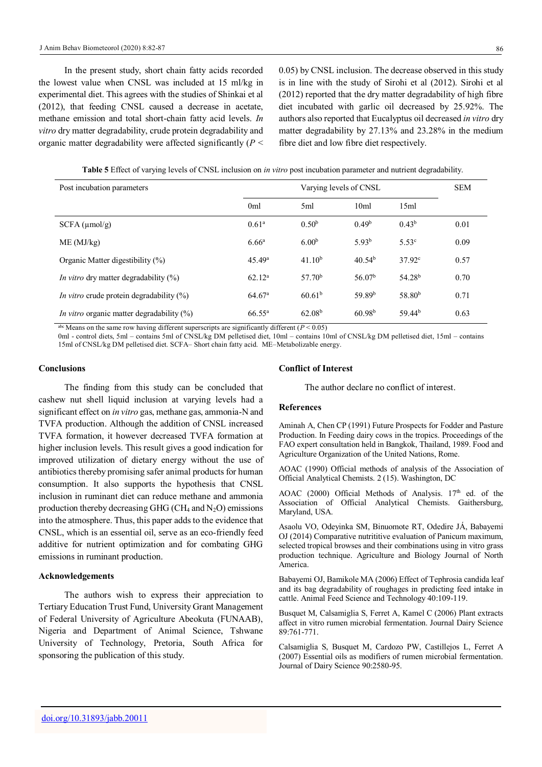In the present study, short chain fatty acids recorded the lowest value when CNSL was included at 15 ml/kg in experimental diet. This agrees with the studies of Shinkai et al (2012), that feeding CNSL caused a decrease in acetate, methane emission and total short-chain fatty acid levels. *In vitro* dry matter degradability, crude protein degradability and organic matter degradability were affected significantly (*P* <

0.05) by CNSL inclusion. The decrease observed in this study is in line with the study of Sirohi et al (2012). Sirohi et al (2012) reported that the dry matter degradability of high fibre diet incubated with garlic oil decreased by 25.92%. The authors also reported that Eucalyptus oil decreased *in vitro* dry matter degradability by 27.13% and 23.28% in the medium fibre diet and low fibre diet respectively.

**Table 5** Effect of varying levels of CNSL inclusion on *in vitro* post incubation parameter and nutrient degradability.

| Post incubation parameters                      | Varying levels of CNSL |                    |                    | <b>SEM</b>         |      |
|-------------------------------------------------|------------------------|--------------------|--------------------|--------------------|------|
|                                                 | 0 <sub>ml</sub>        | 5ml                | 10 <sub>ml</sub>   | 15ml               |      |
| SCFA (µmol/g)                                   | 0.61 <sup>a</sup>      | 0.50 <sup>b</sup>  | 0.49 <sup>b</sup>  | 0.43 <sup>b</sup>  | 0.01 |
| ME (MJ/kg)                                      | 6.66 <sup>a</sup>      | 6.00 <sup>b</sup>  | 5.93 <sup>b</sup>  | 5.53 <sup>c</sup>  | 0.09 |
| Organic Matter digestibility (%)                | 45.49 <sup>a</sup>     | 41.10 <sup>b</sup> | 40.54 <sup>b</sup> | $37.92^{\circ}$    | 0.57 |
| <i>In vitro</i> dry matter degradability $(\%)$ | 62.12 <sup>a</sup>     | 57.70 <sup>b</sup> | 56.07 <sup>b</sup> | 54.28 <sup>b</sup> | 0.70 |
| <i>In vitro</i> crude protein degradability (%) | 64.67 <sup>a</sup>     | 60.61 <sup>b</sup> | 59.89 <sup>b</sup> | 58.80 <sup>b</sup> | 0.71 |
| In vitro organic matter degradability $(\%)$    | $66.55^{\rm a}$        | 62.08 <sup>b</sup> | 60.98 <sup>b</sup> | 59.44 <sup>b</sup> | 0.63 |

abc Means on the same row having different superscripts are significantly different  $(P < 0.05)$ 

0ml - control diets, 5ml – contains 5ml of CNSL/kg DM pelletised diet, 10ml – contains 10ml of CNSL/kg DM pelletised diet, 15ml – contains 15ml of CNSL/kg DM pelletised diet. SCFA– Short chain fatty acid. ME–Metabolizable energy.

#### **Conclusions**

The finding from this study can be concluded that cashew nut shell liquid inclusion at varying levels had a significant effect on *in vitro* gas, methane gas, ammonia-N and TVFA production. Although the addition of CNSL increased TVFA formation, it however decreased TVFA formation at higher inclusion levels. This result gives a good indication for improved utilization of dietary energy without the use of antibiotics thereby promising safer animal products for human consumption. It also supports the hypothesis that CNSL inclusion in ruminant diet can reduce methane and ammonia production thereby decreasing GHG (CH<sub>4</sub> and  $N_2O$ ) emissions into the atmosphere. Thus, this paper adds to the evidence that CNSL, which is an essential oil, serve as an eco-friendly feed additive for nutrient optimization and for combating GHG emissions in ruminant production.

#### **Acknowledgements**

The authors wish to express their appreciation to Tertiary Education Trust Fund, University Grant Management of Federal University of Agriculture Abeokuta (FUNAAB), Nigeria and Department of Animal Science, Tshwane University of Technology, Pretoria, South Africa for sponsoring the publication of this study.

#### **Conflict of Interest**

The author declare no conflict of interest.

#### **References**

Aminah A, Chen CP (1991) Future Prospects for Fodder and Pasture Production. In Feeding dairy cows in the tropics. Proceedings of the FAO expert consultation held in Bangkok, Thailand, 1989. Food and Agriculture Organization of the United Nations, Rome.

AOAC (1990) Official methods of analysis of the Association of Official Analytical Chemists. 2 (15). Washington, DC

AOAC (2000) Official Methods of Analysis. 17<sup>th</sup> ed. of the Association of Official Analytical Chemists. Gaithersburg, Maryland, USA.

Asaolu VO, Odeyinka SM, Binuomote RT, Odedire JÁ, Babayemi OJ (2014) Comparative nutrititive evaluation of Panicum maximum, selected tropical browses and their combinations using in vitro grass production technique. Agriculture and Biology Journal of North **America** 

Babayemi OJ, Bamikole MA (2006) Effect of Tephrosia candida leaf and its bag degradability of roughages in predicting feed intake in cattle. Animal Feed Science and Technology 40:109-119.

Busquet M, Calsamiglia S, Ferret A, Kamel C (2006) Plant extracts affect in vitro rumen microbial fermentation. Journal Dairy Science 89:761-771.

Calsamiglia S, Busquet M, Cardozo PW, Castillejos L, Ferret A (2007) Essential oils as modifiers of rumen microbial fermentation. Journal of Dairy Science 90:2580-95.